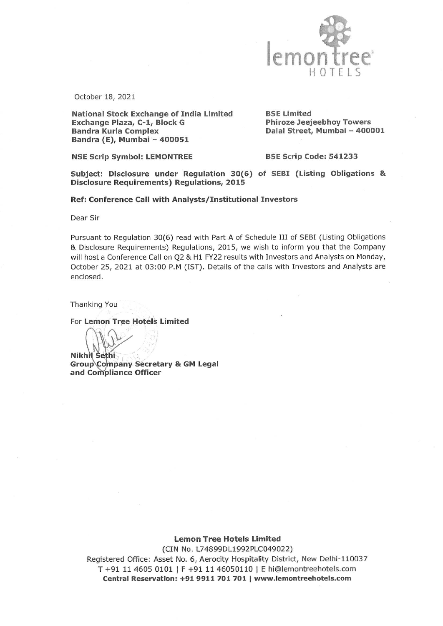

October 18, 2021

National Stock Exchange of India Limited<br> **Exchange Plaza, C-1, Block G** Phiroze Jeejeebhoy Towers Bandra Kurla Complex<br>Bandra (E), Mumbai - 400051 **Dalal Street, Mumbai - 400001** 

NSE Scrip Symbol: LEMONTREE BSE Scrip Code: 541233

Subject: Disclosure under Regulation 30(6) of SEBI (Listing Obligations & Disclosure Requirements) Regulations, 2015

Ref: Conference Call with Analysts/ Institutional Investors

Dear Sir

Pursuant to Regulation 30(6) read with Part A of Schedule III of SEBI (Listing Obligations Disclosure Requirements) Regulations, 2015, we wish to inform you that the Company will host a Conference Call on Q2 & H1 FY22 results with Investors and Analysts on Monday, October 25, 2021 at 03:00 P.M (IST). Details of the calls with Investors and Analysts are enclosed.

Thanking You

For Lemon Tree Hotels Limited

**Nikhil Sethi** Group\Company Secretary & GM Legal<br>and Compliance Officer

Lemon Tree Hotels Limited

(CIN No. L74899DL1992PLC049022) Registered Office: Asset No. 6, Aerocity Hospitality District, New Delhi-110037 T +91 11 4605 0101 | F +91 11 46050110 | E hi@lemontreehotels.com Central Reservation: +91 9911 701 701 www.lemontreehotels.com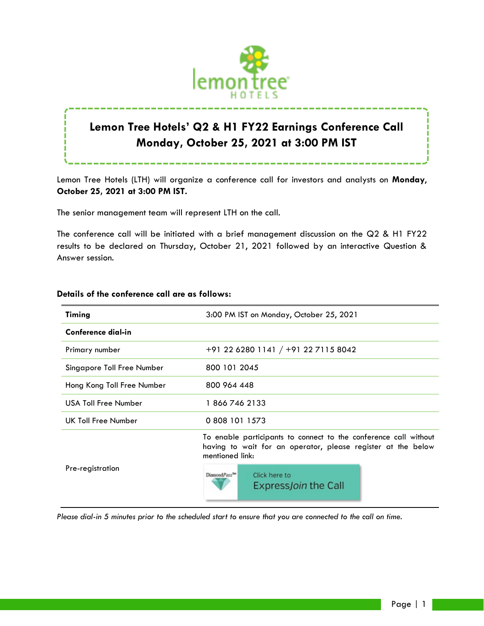

# **Lemon Tree Hotels' Q2 & H1 FY22 Earnings Conference Call Monday, October 25, 2021 at 3:00 PM IST**

Lemon Tree Hotels (LTH) will organize a conference call for investors and analysts on **Monday**, **October 25, 2021 at 3:00 PM IST.**

The senior management team will represent LTH on the call.

The conference call will be initiated with a brief management discussion on the Q2 & H1 FY22 results to be declared on Thursday, October 21, 2021 followed by an interactive Question & Answer session.

| <b>Timing</b>               | 3:00 PM IST on Monday, October 25, 2021                                                                                                             |
|-----------------------------|-----------------------------------------------------------------------------------------------------------------------------------------------------|
| Conference dial-in          |                                                                                                                                                     |
| Primary number              | $+91$ 22 6280 1141 / $+91$ 22 7115 8042                                                                                                             |
| Singapore Toll Free Number  | 800 101 2045                                                                                                                                        |
| Hong Kong Toll Free Number  | 800 964 448                                                                                                                                         |
| <b>USA Toll Free Number</b> | 1 866 746 2133                                                                                                                                      |
| UK Toll Free Number         | 0 808 101 1573                                                                                                                                      |
| Pre-registration            | To enable participants to connect to the conference call without<br>having to wait for an operator, please register at the below<br>mentioned link: |
|                             | DiamondPass <sup>TH</sup><br>Click here to<br>Express Join the Call                                                                                 |

## **Details of the conference call are as follows:**

*Please dial-in 5 minutes prior to the scheduled start to ensure that you are connected to the call on time.*